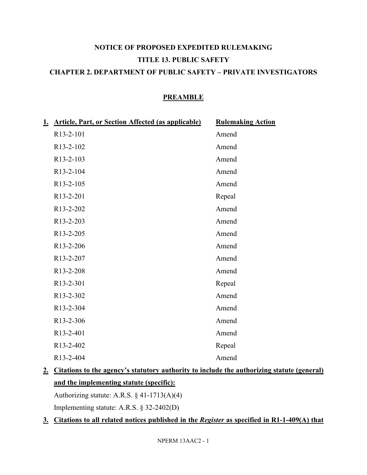# **NOTICE OF PROPOSED EXPEDITED RULEMAKING TITLE 13. PUBLIC SAFETY CHAPTER 2. DEPARTMENT OF PUBLIC SAFETY – PRIVATE INVESTIGATORS**

## **PREAMBLE**

| 1. Article, Part, or Section Affected (as applicable) | <b>Rulemaking Action</b> |
|-------------------------------------------------------|--------------------------|
| R13-2-101                                             | Amend                    |
| R13-2-102                                             | Amend                    |
| R13-2-103                                             | Amend                    |
| R13-2-104                                             | Amend                    |
| R13-2-105                                             | Amend                    |
| R13-2-201                                             | Repeal                   |
| R13-2-202                                             | Amend                    |
| R13-2-203                                             | Amend                    |
| R13-2-205                                             | Amend                    |
| R13-2-206                                             | Amend                    |
| R13-2-207                                             | Amend                    |
| R13-2-208                                             | Amend                    |
| R13-2-301                                             | Repeal                   |
| R13-2-302                                             | Amend                    |
| R13-2-304                                             | Amend                    |
| R13-2-306                                             | Amend                    |
| R13-2-401                                             | Amend                    |
| R <sub>13</sub> -2-402                                | Repeal                   |
| R13-2-404                                             | Amend                    |
|                                                       |                          |

**2. Citations to the agency's statutory authority to include the authorizing statute (general) and the implementing statute (specific):**

Authorizing statute: A.R.S. § 41-1713(A)(4) Implementing statute: A.R.S. § 32-2402(D)

## **3. Citations to all related notices published in the** *Register* **as specified in R1-1-409(A) that**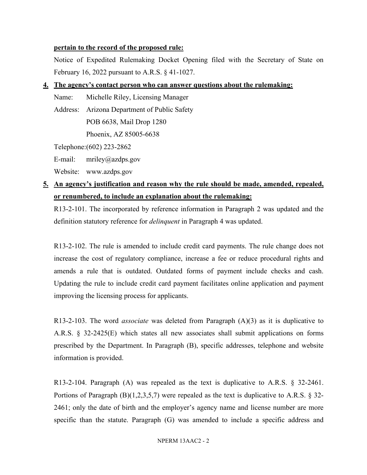### **pertain to the record of the proposed rule:**

Notice of Expedited Rulemaking Docket Opening filed with the Secretary of State on February 16, 2022 pursuant to A.R.S. § 41-1027.

## **4. The agency's contact person who can answer questions about the rulemaking:**

Name: Michelle Riley, Licensing Manager

Address: Arizona Department of Public Safety

POB 6638, Mail Drop 1280

Phoenix, AZ 85005-6638

Telephone:(602) 223-2862

E-mail: mriley@azdps.gov

Website: www.azdps.gov

## **5. An agency's justification and reason why the rule should be made, amended, repealed, or renumbered, to include an explanation about the rulemaking:**

R13-2-101. The incorporated by reference information in Paragraph 2 was updated and the definition statutory reference for *delinquent* in Paragraph 4 was updated.

R13-2-102. The rule is amended to include credit card payments. The rule change does not increase the cost of regulatory compliance, increase a fee or reduce procedural rights and amends a rule that is outdated. Outdated forms of payment include checks and cash. Updating the rule to include credit card payment facilitates online application and payment improving the licensing process for applicants.

R13-2-103. The word *associate* was deleted from Paragraph (A)(3) as it is duplicative to A.R.S. § 32-2425(E) which states all new associates shall submit applications on forms prescribed by the Department. In Paragraph (B), specific addresses, telephone and website information is provided.

R13-2-104. Paragraph (A) was repealed as the text is duplicative to A.R.S. § 32-2461. Portions of Paragraph  $(B)(1,2,3,5,7)$  were repealed as the text is duplicative to A.R.S. § 32-2461; only the date of birth and the employer's agency name and license number are more specific than the statute. Paragraph (G) was amended to include a specific address and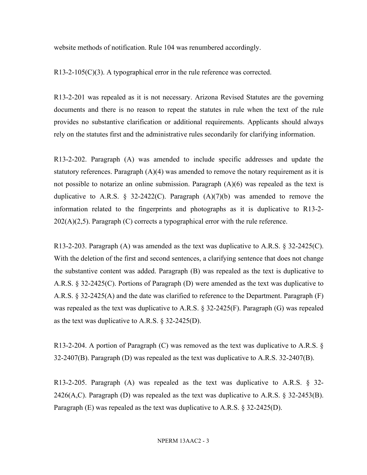website methods of notification. Rule 104 was renumbered accordingly.

R13-2-105(C)(3). A typographical error in the rule reference was corrected.

R13-2-201 was repealed as it is not necessary. Arizona Revised Statutes are the governing documents and there is no reason to repeat the statutes in rule when the text of the rule provides no substantive clarification or additional requirements. Applicants should always rely on the statutes first and the administrative rules secondarily for clarifying information.

R13-2-202. Paragraph (A) was amended to include specific addresses and update the statutory references. Paragraph  $(A)(4)$  was amended to remove the notary requirement as it is not possible to notarize an online submission. Paragraph (A)(6) was repealed as the text is duplicative to A.R.S. § 32-2422(C). Paragraph  $(A)(7)(b)$  was amended to remove the information related to the fingerprints and photographs as it is duplicative to R13-2-  $202(A)(2,5)$ . Paragraph (C) corrects a typographical error with the rule reference.

R13-2-203. Paragraph (A) was amended as the text was duplicative to A.R.S. § 32-2425(C). With the deletion of the first and second sentences, a clarifying sentence that does not change the substantive content was added. Paragraph (B) was repealed as the text is duplicative to A.R.S. § 32-2425(C). Portions of Paragraph (D) were amended as the text was duplicative to A.R.S. § 32-2425(A) and the date was clarified to reference to the Department. Paragraph (F) was repealed as the text was duplicative to A.R.S. § 32-2425(F). Paragraph (G) was repealed as the text was duplicative to A.R.S. § 32-2425(D).

R13-2-204. A portion of Paragraph (C) was removed as the text was duplicative to A.R.S. § 32-2407(B). Paragraph (D) was repealed as the text was duplicative to A.R.S. 32-2407(B).

R13-2-205. Paragraph (A) was repealed as the text was duplicative to A.R.S. § 32- 2426(A,C). Paragraph (D) was repealed as the text was duplicative to A.R.S.  $\S$  32-2453(B). Paragraph (E) was repealed as the text was duplicative to A.R.S. § 32-2425(D).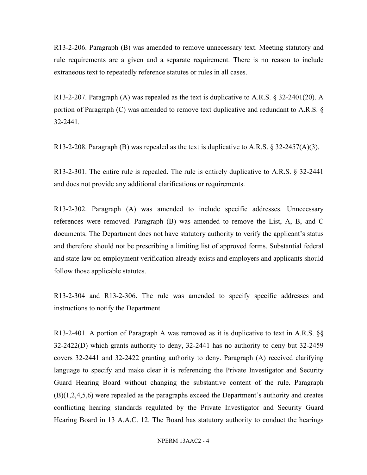R13-2-206. Paragraph (B) was amended to remove unnecessary text. Meeting statutory and rule requirements are a given and a separate requirement. There is no reason to include extraneous text to repeatedly reference statutes or rules in all cases.

R13-2-207. Paragraph (A) was repealed as the text is duplicative to A.R.S. § 32-2401(20). A portion of Paragraph (C) was amended to remove text duplicative and redundant to A.R.S. § 32-2441.

R13-2-208. Paragraph (B) was repealed as the text is duplicative to A.R.S. § 32-2457(A)(3).

R13-2-301. The entire rule is repealed. The rule is entirely duplicative to A.R.S. § 32-2441 and does not provide any additional clarifications or requirements.

R13-2-302. Paragraph (A) was amended to include specific addresses. Unnecessary references were removed. Paragraph (B) was amended to remove the List, A, B, and C documents. The Department does not have statutory authority to verify the applicant's status and therefore should not be prescribing a limiting list of approved forms. Substantial federal and state law on employment verification already exists and employers and applicants should follow those applicable statutes.

R13-2-304 and R13-2-306. The rule was amended to specify specific addresses and instructions to notify the Department.

R13-2-401. A portion of Paragraph A was removed as it is duplicative to text in A.R.S. §§ 32-2422(D) which grants authority to deny, 32-2441 has no authority to deny but 32-2459 covers 32-2441 and 32-2422 granting authority to deny. Paragraph (A) received clarifying language to specify and make clear it is referencing the Private Investigator and Security Guard Hearing Board without changing the substantive content of the rule. Paragraph (B)(1,2,4,5,6) were repealed as the paragraphs exceed the Department's authority and creates conflicting hearing standards regulated by the Private Investigator and Security Guard Hearing Board in 13 A.A.C. 12. The Board has statutory authority to conduct the hearings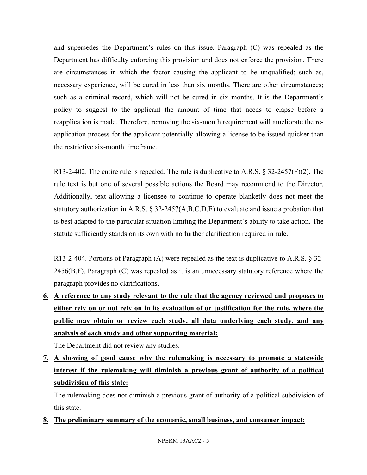and supersedes the Department's rules on this issue. Paragraph (C) was repealed as the Department has difficulty enforcing this provision and does not enforce the provision. There are circumstances in which the factor causing the applicant to be unqualified; such as, necessary experience, will be cured in less than six months. There are other circumstances; such as a criminal record, which will not be cured in six months. It is the Department's policy to suggest to the applicant the amount of time that needs to elapse before a reapplication is made. Therefore, removing the six-month requirement will ameliorate the reapplication process for the applicant potentially allowing a license to be issued quicker than the restrictive six-month timeframe.

R13-2-402. The entire rule is repealed. The rule is duplicative to A.R.S. § 32-2457(F)(2). The rule text is but one of several possible actions the Board may recommend to the Director. Additionally, text allowing a licensee to continue to operate blanketly does not meet the statutory authorization in A.R.S.  $\S 32{\text -}2457(A,B,C,D,E)$  to evaluate and issue a probation that is best adapted to the particular situation limiting the Department's ability to take action. The statute sufficiently stands on its own with no further clarification required in rule.

R13-2-404. Portions of Paragraph (A) were repealed as the text is duplicative to A.R.S. § 32- 2456(B,F). Paragraph (C) was repealed as it is an unnecessary statutory reference where the paragraph provides no clarifications.

**6. A reference to any study relevant to the rule that the agency reviewed and proposes to either rely on or not rely on in its evaluation of or justification for the rule, where the public may obtain or review each study, all data underlying each study, and any analysis of each study and other supporting material:**

The Department did not review any studies.

**7. A showing of good cause why the rulemaking is necessary to promote a statewide interest if the rulemaking will diminish a previous grant of authority of a political subdivision of this state:**

The rulemaking does not diminish a previous grant of authority of a political subdivision of this state.

**8. The preliminary summary of the economic, small business, and consumer impact:**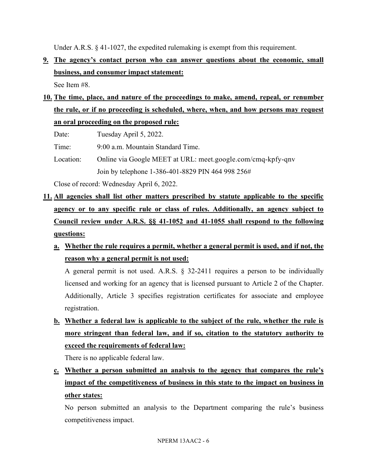Under A.R.S. § 41-1027, the expedited rulemaking is exempt from this requirement.

**9. The agency's contact person who can answer questions about the economic, small business, and consumer impact statement:**

See Item #8.

**10. The time, place, and nature of the proceedings to make, amend, repeal, or renumber the rule, or if no proceeding is scheduled, where, when, and how persons may request an oral proceeding on the proposed rule:**

Date: Tuesday April 5, 2022.

Time: 9:00 a.m. Mountain Standard Time.

Location: Online via Google MEET at URL: meet.google.com/cmq-kpfy-qnv Join by telephone 1-386-401-8829 PIN 464 998 256#

Close of record: Wednesday April 6, 2022.

- **11. All agencies shall list other matters prescribed by statute applicable to the specific agency or to any specific rule or class of rules. Additionally, an agency subject to Council review under A.R.S. §§ 41-1052 and 41-1055 shall respond to the following questions:**
	- **a. Whether the rule requires a permit, whether a general permit is used, and if not, the reason why a general permit is not used:**

A general permit is not used. A.R.S. § 32-2411 requires a person to be individually licensed and working for an agency that is licensed pursuant to Article 2 of the Chapter. Additionally, Article 3 specifies registration certificates for associate and employee registration.

**b. Whether a federal law is applicable to the subject of the rule, whether the rule is more stringent than federal law, and if so, citation to the statutory authority to exceed the requirements of federal law:**

There is no applicable federal law.

**c. Whether a person submitted an analysis to the agency that compares the rule's impact of the competitiveness of business in this state to the impact on business in other states:**

No person submitted an analysis to the Department comparing the rule's business competitiveness impact.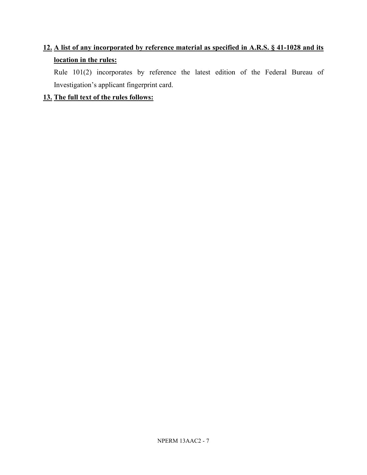# **12. A list of any incorporated by reference material as specified in A.R.S. § 41-1028 and its location in the rules:**

Rule 101(2) incorporates by reference the latest edition of the Federal Bureau of Investigation's applicant fingerprint card.

## **13. The full text of the rules follows:**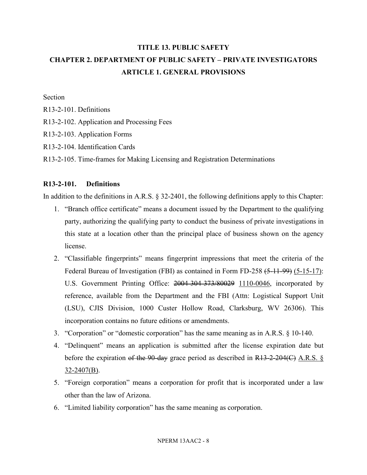# **TITLE 13. PUBLIC SAFETY CHAPTER 2. DEPARTMENT OF PUBLIC SAFETY – PRIVATE INVESTIGATORS ARTICLE 1. GENERAL PROVISIONS**

Section

- R13-2-101. Definitions
- R13-2-102. Application and Processing Fees
- R13-2-103. Application Forms
- R13-2-104. Identification Cards
- R13-2-105. Time-frames for Making Licensing and Registration Determinations

### **R13-2-101. Definitions**

In addition to the definitions in A.R.S. § 32-2401, the following definitions apply to this Chapter:

- 1. "Branch office certificate" means a document issued by the Department to the qualifying party, authorizing the qualifying party to conduct the business of private investigations in this state at a location other than the principal place of business shown on the agency license.
- 2. "Classifiable fingerprints" means fingerprint impressions that meet the criteria of the Federal Bureau of Investigation (FBI) as contained in Form FD-258 (5-11-99) (5-15-17): U.S. Government Printing Office: 2004-304-373/80029 1110-0046, incorporated by reference, available from the Department and the FBI (Attn: Logistical Support Unit (LSU), CJIS Division, 1000 Custer Hollow Road, Clarksburg, WV 26306). This incorporation contains no future editions or amendments.
- 3. "Corporation" or "domestic corporation" has the same meaning as in A.R.S. § 10-140.
- 4. "Delinquent" means an application is submitted after the license expiration date but before the expiration of the 90-day grace period as described in  $R13-2-204(C)$  A.R.S. § 32-2407(B).
- 5. "Foreign corporation" means a corporation for profit that is incorporated under a law other than the law of Arizona.
- 6. "Limited liability corporation" has the same meaning as corporation.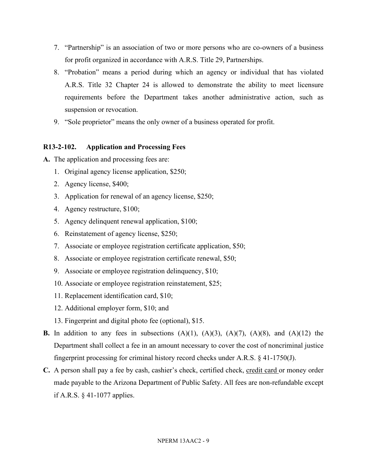- 7. "Partnership" is an association of two or more persons who are co-owners of a business for profit organized in accordance with A.R.S. Title 29, Partnerships.
- 8. "Probation" means a period during which an agency or individual that has violated A.R.S. Title 32 Chapter 24 is allowed to demonstrate the ability to meet licensure requirements before the Department takes another administrative action, such as suspension or revocation.
- 9. "Sole proprietor" means the only owner of a business operated for profit.

## **R13-2-102. Application and Processing Fees**

- **A.** The application and processing fees are:
	- 1. Original agency license application, \$250;
	- 2. Agency license, \$400;
	- 3. Application for renewal of an agency license, \$250;
	- 4. Agency restructure, \$100;
	- 5. Agency delinquent renewal application, \$100;
	- 6. Reinstatement of agency license, \$250;
	- 7. Associate or employee registration certificate application, \$50;
	- 8. Associate or employee registration certificate renewal, \$50;
	- 9. Associate or employee registration delinquency, \$10;
	- 10. Associate or employee registration reinstatement, \$25;
	- 11. Replacement identification card, \$10;
	- 12. Additional employer form, \$10; and
	- 13. Fingerprint and digital photo fee (optional), \$15.
- **B.** In addition to any fees in subsections  $(A)(1)$ ,  $(A)(3)$ ,  $(A)(7)$ ,  $(A)(8)$ , and  $(A)(12)$  the Department shall collect a fee in an amount necessary to cover the cost of noncriminal justice fingerprint processing for criminal history record checks under A.R.S. § 41-1750(J).
- **C.** A person shall pay a fee by cash, cashier's check, certified check, credit card or money order made payable to the Arizona Department of Public Safety. All fees are non-refundable except if A.R.S. § 41-1077 applies.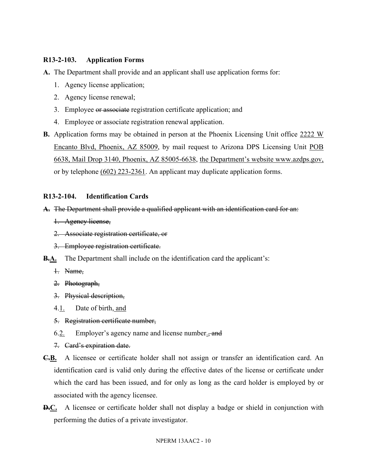## **R13-2-103. Application Forms**

**A.** The Department shall provide and an applicant shall use application forms for:

- 1. Agency license application;
- 2. Agency license renewal;
- 3. Employee or associate registration certificate application; and
- 4. Employee or associate registration renewal application.
- **B.** Application forms may be obtained in person at the Phoenix Licensing Unit office 2222 W Encanto Blvd, Phoenix, AZ 85009, by mail request to Arizona DPS Licensing Unit POB 6638, Mail Drop 3140, Phoenix, AZ 85005-6638, the Department's website www.azdps.gov, or by telephone (602) 223-2361. An applicant may duplicate application forms.

## **R13-2-104. Identification Cards**

## **A.** The Department shall provide a qualified applicant with an identification card for an:

- 1. Agency license,
- 2. Associate registration certificate, or
- 3. Employee registration certificate.
- **B.A.** The Department shall include on the identification card the applicant's:
	- 1. Name,
	- 2. Photograph,
	- 3. Physical description,
	- 4.1. Date of birth, and
	- 5. Registration certificate number,
	- 6.2. Employer's agency name and license number. $\frac{1}{2}$  and
	- 7. Card's expiration date.
- **C.B.** A licensee or certificate holder shall not assign or transfer an identification card. An identification card is valid only during the effective dates of the license or certificate under which the card has been issued, and for only as long as the card holder is employed by or associated with the agency licensee.
- **D.C.** A licensee or certificate holder shall not display a badge or shield in conjunction with performing the duties of a private investigator.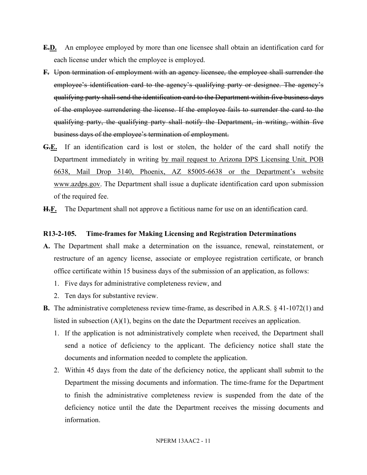- **E.D.** An employee employed by more than one licensee shall obtain an identification card for each license under which the employee is employed.
- **F.** Upon termination of employment with an agency licensee, the employee shall surrender the employee's identification card to the agency's qualifying party or designee. The agency's qualifying party shall send the identification card to the Department within five business days of the employee surrendering the license. If the employee fails to surrender the card to the qualifying party, the qualifying party shall notify the Department, in writing, within five business days of the employee's termination of employment.
- **G.E.** If an identification card is lost or stolen, the holder of the card shall notify the Department immediately in writing by mail request to Arizona DPS Licensing Unit, POB 6638, Mail Drop 3140, Phoenix, AZ 85005-6638 or the Department's website www.azdps.gov. The Department shall issue a duplicate identification card upon submission of the required fee.
- **H.F.** The Department shall not approve a fictitious name for use on an identification card.

#### **R13-2-105. Time-frames for Making Licensing and Registration Determinations**

- **A.** The Department shall make a determination on the issuance, renewal, reinstatement, or restructure of an agency license, associate or employee registration certificate, or branch office certificate within 15 business days of the submission of an application, as follows:
	- 1. Five days for administrative completeness review, and
	- 2. Ten days for substantive review.
- **B.** The administrative completeness review time-frame, as described in A.R.S. § 41-1072(1) and listed in subsection  $(A)(1)$ , begins on the date the Department receives an application.
	- 1. If the application is not administratively complete when received, the Department shall send a notice of deficiency to the applicant. The deficiency notice shall state the documents and information needed to complete the application.
	- 2. Within 45 days from the date of the deficiency notice, the applicant shall submit to the Department the missing documents and information. The time-frame for the Department to finish the administrative completeness review is suspended from the date of the deficiency notice until the date the Department receives the missing documents and information.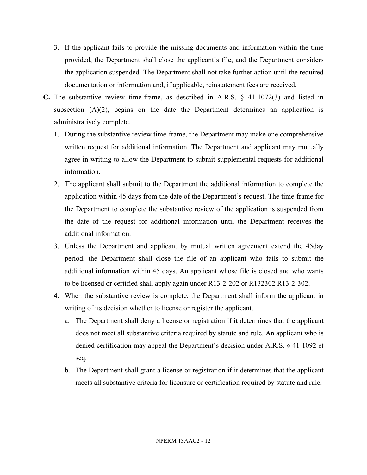- 3. If the applicant fails to provide the missing documents and information within the time provided, the Department shall close the applicant's file, and the Department considers the application suspended. The Department shall not take further action until the required documentation or information and, if applicable, reinstatement fees are received.
- **C.** The substantive review time-frame, as described in A.R.S. § 41-1072(3) and listed in subsection  $(A)(2)$ , begins on the date the Department determines an application is administratively complete.
	- 1. During the substantive review time-frame, the Department may make one comprehensive written request for additional information. The Department and applicant may mutually agree in writing to allow the Department to submit supplemental requests for additional information.
	- 2. The applicant shall submit to the Department the additional information to complete the application within 45 days from the date of the Department's request. The time-frame for the Department to complete the substantive review of the application is suspended from the date of the request for additional information until the Department receives the additional information.
	- 3. Unless the Department and applicant by mutual written agreement extend the 45day period, the Department shall close the file of an applicant who fails to submit the additional information within 45 days. An applicant whose file is closed and who wants to be licensed or certified shall apply again under R13-2-202 or R132302 R13-2-302.
	- 4. When the substantive review is complete, the Department shall inform the applicant in writing of its decision whether to license or register the applicant.
		- a. The Department shall deny a license or registration if it determines that the applicant does not meet all substantive criteria required by statute and rule. An applicant who is denied certification may appeal the Department's decision under A.R.S. § 41-1092 et seq.
		- b. The Department shall grant a license or registration if it determines that the applicant meets all substantive criteria for licensure or certification required by statute and rule.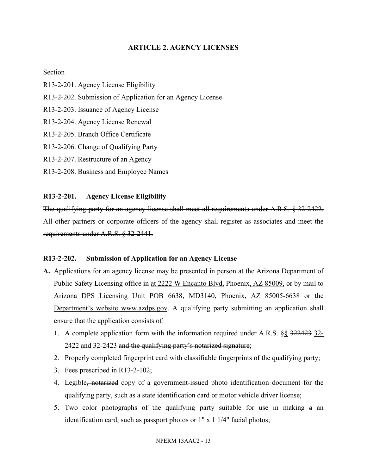## **ARTICLE 2. AGENCY LICENSES**

#### Section

- R13-2-201. Agency License Eligibility
- R13-2-202. Submission of Application for an Agency License
- R13-2-203. Issuance of Agency License
- R13-2-204. Agency License Renewal
- R13-2-205. Branch Office Certificate
- R13-2-206. Change of Qualifying Party
- R13-2-207. Restructure of an Agency
- R13-2-208. Business and Employee Names

#### **R13-2-201. Agency License Eligibility**

The qualifying party for an agency license shall meet all requirements under A.R.S. § 32-2422. All other partners or corporate officers of the agency shall register as associates and meet the requirements under A.R.S. § 32-2441.

#### **R13-2-202. Submission of Application for an Agency License**

- **A.** Applications for an agency license may be presented in person at the Arizona Department of Public Safety Licensing office in at 2222 W Encanto Blvd, Phoenix, AZ 85009, or by mail to Arizona DPS Licensing Unit POB 6638, MD3140, Phoenix, AZ 85005-6638 or the Department's website www.azdps.gov. A qualifying party submitting an application shall ensure that the application consists of:
	- 1. A complete application form with the information required under A.R.S. §§ 322423 32- 2422 and 32-2423 and the qualifying party's notarized signature;
	- 2. Properly completed fingerprint card with classifiable fingerprints of the qualifying party;
	- 3. Fees prescribed in R13-2-102;
	- 4. Legible, notarized copy of a government-issued photo identification document for the qualifying party, such as a state identification card or motor vehicle driver license;
	- 5. Two color photographs of the qualifying party suitable for use in making a an identification card, such as passport photos or 1" x 1 1/4" facial photos;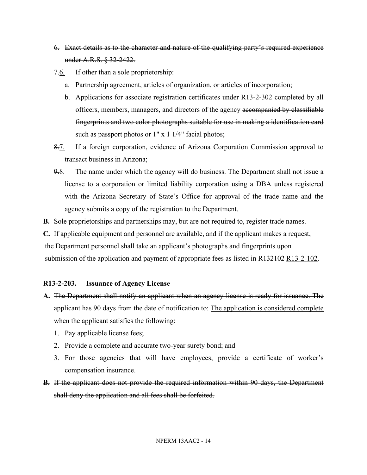- 6. Exact details as to the character and nature of the qualifying party's required experience under A.R.S. § 32-2422.
- 7.6. If other than a sole proprietorship:
	- a. Partnership agreement, articles of organization, or articles of incorporation;
	- b. Applications for associate registration certificates under R13-2-302 completed by all officers, members, managers, and directors of the agency accompanied by classifiable fingerprints and two color photographs suitable for use in making a identification card such as passport photos or  $1" \times 1 \frac{1}{4}$  facial photos;
- 8.7. If a foreign corporation, evidence of Arizona Corporation Commission approval to transact business in Arizona;
- 9.8. The name under which the agency will do business. The Department shall not issue a license to a corporation or limited liability corporation using a DBA unless registered with the Arizona Secretary of State's Office for approval of the trade name and the agency submits a copy of the registration to the Department.
- **B.** Sole proprietorships and partnerships may, but are not required to, register trade names.

**C.** If applicable equipment and personnel are available, and if the applicant makes a request, the Department personnel shall take an applicant's photographs and fingerprints upon submission of the application and payment of appropriate fees as listed in R132102 R13-2-102.

## **R13-2-203. Issuance of Agency License**

- **A.** The Department shall notify an applicant when an agency license is ready for issuance. The applicant has 90 days from the date of notification to: The application is considered complete when the applicant satisfies the following:
	- 1. Pay applicable license fees;
	- 2. Provide a complete and accurate two-year surety bond; and
	- 3. For those agencies that will have employees, provide a certificate of worker's compensation insurance.
- **B.** If the applicant does not provide the required information within 90 days, the Department shall deny the application and all fees shall be forfeited.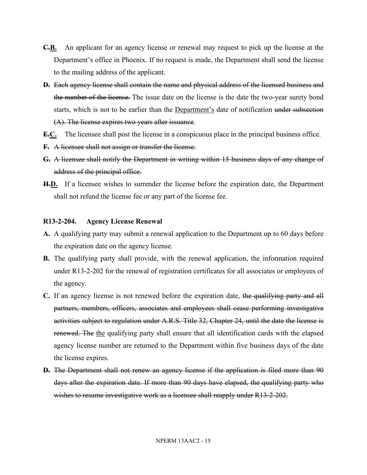- **C.B.** An applicant for an agency license or renewal may request to pick up the license at the Department's office in Phoenix. If no request is made, the Department shall send the license to the mailing address of the applicant.
- **D.** Each agency license shall contain the name and physical address of the licensed business and the number of the license. The issue date on the license is the date the two-year surety bond starts, which is not to be earlier than the Department's date of notification under subsection (A). The license expires two years after issuance.
- **E.C.** The licensee shall post the license in a conspicuous place in the principal business office.
- **F.** A licensee shall not assign or transfer the license.
- **G.** A licensee shall notify the Department in writing within 15 business days of any change of address of the principal office.
- **H.D.** If a licensee wishes to surrender the license before the expiration date, the Department shall not refund the license fee or any part of the license fee.

#### **R13-2-204. Agency License Renewal**

- **A.** A qualifying party may submit a renewal application to the Department up to 60 days before the expiration date on the agency license.
- **B.** The qualifying party shall provide, with the renewal application, the information required under R13-2-202 for the renewal of registration certificates for all associates or employees of the agency.
- **C.** If an agency license is not renewed before the expiration date, the qualifying party and all partners, members, officers, associates and employees shall cease performing investigative activities subject to regulation under A.R.S. Title 32, Chapter 24, until the date the license is renewed. The the qualifying party shall ensure that all identification cards with the elapsed agency license number are returned to the Department within five business days of the date the license expires.
- **D.** The Department shall not renew an agency license if the application is filed more than 90 days after the expiration date. If more than 90 days have elapsed, the qualifying party who wishes to resume investigative work as a licensee shall reapply under R13-2-202.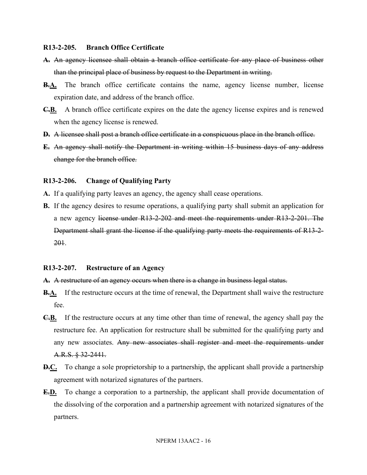#### **R13-2-205. Branch Office Certificate**

- **A.** An agency licensee shall obtain a branch office certificate for any place of business other than the principal place of business by request to the Department in writing.
- **B.A.** The branch office certificate contains the name, agency license number, license expiration date, and address of the branch office.
- **C.B.** A branch office certificate expires on the date the agency license expires and is renewed when the agency license is renewed.
- **D.** A licensee shall post a branch office certificate in a conspicuous place in the branch office.
- **E.** An agency shall notify the Department in writing within 15 business days of any address change for the branch office.

#### **R13-2-206. Change of Qualifying Party**

- **A.** If a qualifying party leaves an agency, the agency shall cease operations.
- **B.** If the agency desires to resume operations, a qualifying party shall submit an application for a new agency license under R13-2-202 and meet the requirements under R13-2-201. The Department shall grant the license if the qualifying party meets the requirements of R13-2- 201.

#### **R13-2-207. Restructure of an Agency**

- **A.** A restructure of an agency occurs when there is a change in business legal status.
- **B.A.** If the restructure occurs at the time of renewal, the Department shall waive the restructure fee.
- **C.B.** If the restructure occurs at any time other than time of renewal, the agency shall pay the restructure fee. An application for restructure shall be submitted for the qualifying party and any new associates. Any new associates shall register and meet the requirements under A.R.S. § 32-2441.
- **D.C.** To change a sole proprietorship to a partnership, the applicant shall provide a partnership agreement with notarized signatures of the partners.
- **E.D.** To change a corporation to a partnership, the applicant shall provide documentation of the dissolving of the corporation and a partnership agreement with notarized signatures of the partners.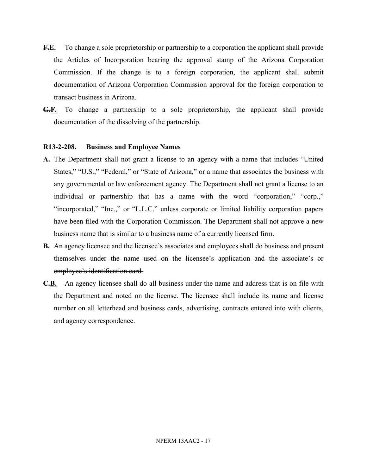- **F.E.** To change a sole proprietorship or partnership to a corporation the applicant shall provide the Articles of Incorporation bearing the approval stamp of the Arizona Corporation Commission. If the change is to a foreign corporation, the applicant shall submit documentation of Arizona Corporation Commission approval for the foreign corporation to transact business in Arizona.
- **G.F.** To change a partnership to a sole proprietorship, the applicant shall provide documentation of the dissolving of the partnership.

#### **R13-2-208. Business and Employee Names**

- **A.** The Department shall not grant a license to an agency with a name that includes "United States," "U.S.," "Federal," or "State of Arizona," or a name that associates the business with any governmental or law enforcement agency. The Department shall not grant a license to an individual or partnership that has a name with the word "corporation," "corp.," "incorporated," "Inc.," or "L.L.C." unless corporate or limited liability corporation papers have been filed with the Corporation Commission. The Department shall not approve a new business name that is similar to a business name of a currently licensed firm.
- **B.** An agency licensee and the licensee's associates and employees shall do business and present themselves under the name used on the licensee's application and the associate's or employee's identification card.
- **C.B.** An agency licensee shall do all business under the name and address that is on file with the Department and noted on the license. The licensee shall include its name and license number on all letterhead and business cards, advertising, contracts entered into with clients, and agency correspondence.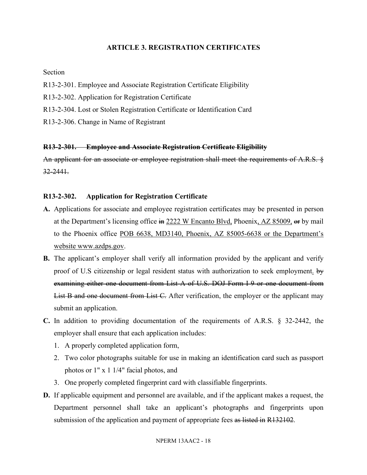## **ARTICLE 3. REGISTRATION CERTIFICATES**

### Section

- R13-2-301. Employee and Associate Registration Certificate Eligibility
- R13-2-302. Application for Registration Certificate
- R13-2-304. Lost or Stolen Registration Certificate or Identification Card
- R13-2-306. Change in Name of Registrant

### **R13-2-301. Employee and Associate Registration Certificate Eligibility**

An applicant for an associate or employee registration shall meet the requirements of A.R.S. § 32-2441.

## **R13-2-302. Application for Registration Certificate**

- **A.** Applications for associate and employee registration certificates may be presented in person at the Department's licensing office in 2222 W Encanto Blvd, Phoenix, AZ 85009, or by mail to the Phoenix office POB 6638, MD3140, Phoenix, AZ 85005-6638 or the Department's website www.azdps.gov.
- **B.** The applicant's employer shall verify all information provided by the applicant and verify proof of U.S citizenship or legal resident status with authorization to seek employment. by examining either one document from List A of U.S. DOJ Form I-9 or one document from List B and one document from List C. After verification, the employer or the applicant may submit an application.
- **C.** In addition to providing documentation of the requirements of A.R.S. § 32-2442, the employer shall ensure that each application includes:
	- 1. A properly completed application form,
	- 2. Two color photographs suitable for use in making an identification card such as passport photos or 1" x 1 1/4" facial photos, and
	- 3. One properly completed fingerprint card with classifiable fingerprints.
- **D.** If applicable equipment and personnel are available, and if the applicant makes a request, the Department personnel shall take an applicant's photographs and fingerprints upon submission of the application and payment of appropriate fees as listed in R132102.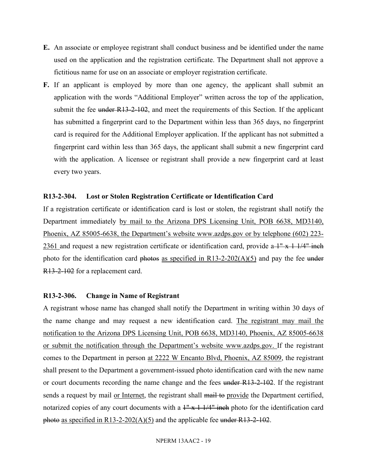- **E.** An associate or employee registrant shall conduct business and be identified under the name used on the application and the registration certificate. The Department shall not approve a fictitious name for use on an associate or employer registration certificate.
- **F.** If an applicant is employed by more than one agency, the applicant shall submit an application with the words "Additional Employer" written across the top of the application, submit the fee under  $R13-2-102$ , and meet the requirements of this Section. If the applicant has submitted a fingerprint card to the Department within less than 365 days, no fingerprint card is required for the Additional Employer application. If the applicant has not submitted a fingerprint card within less than 365 days, the applicant shall submit a new fingerprint card with the application. A licensee or registrant shall provide a new fingerprint card at least every two years.

### **R13-2-304. Lost or Stolen Registration Certificate or Identification Card**

If a registration certificate or identification card is lost or stolen, the registrant shall notify the Department immediately by mail to the Arizona DPS Licensing Unit, POB 6638, MD3140, Phoenix, AZ 85005-6638, the Department's website www.azdps.gov or by telephone (602) 223- 2361 and request a new registration certificate or identification card, provide  $a + x + 1/4$ " inch photo for the identification card photos as specified in  $R13-2-202(A)(5)$  and pay the fee under R13-2-102 for a replacement card.

#### **R13-2-306. Change in Name of Registrant**

A registrant whose name has changed shall notify the Department in writing within 30 days of the name change and may request a new identification card. The registrant may mail the notification to the Arizona DPS Licensing Unit, POB 6638, MD3140, Phoenix, AZ 85005-6638 or submit the notification through the Department's website www.azdps.gov. If the registrant comes to the Department in person at 2222 W Encanto Blvd, Phoenix, AZ 85009, the registrant shall present to the Department a government-issued photo identification card with the new name or court documents recording the name change and the fees under R13-2-102. If the registrant sends a request by mail or Internet, the registrant shall mail to provide the Department certified, notarized copies of any court documents with a  $1'' + 1/4''$  inch photo for the identification card photo as specified in R13-2-202(A)(5) and the applicable fee under R13-2-102.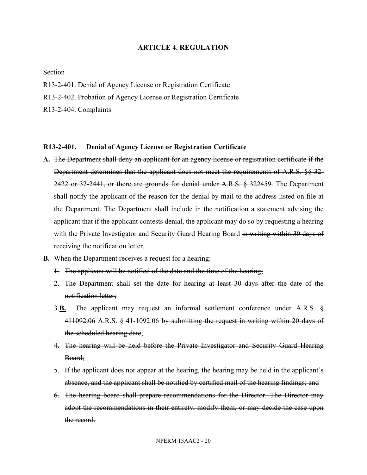### **ARTICLE 4. REGULATION**

Section

- R13-2-401. Denial of Agency License or Registration Certificate
- R13-2-402. Probation of Agency License or Registration Certificate
- R13-2-404. Complaints

#### **R13-2-401. Denial of Agency License or Registration Certificate**

- **A.** The Department shall deny an applicant for an agency license or registration certificate if the Department determines that the applicant does not meet the requirements of A.R.S. §§ 32-2422 or 32-2441, or there are grounds for denial under A.R.S. § 322459. The Department shall notify the applicant of the reason for the denial by mail to the address listed on file at the Department. The Department shall include in the notification a statement advising the applicant that if the applicant contests denial, the applicant may do so by requesting a hearing with the Private Investigator and Security Guard Hearing Board in writing within 30 days of receiving the notification letter.
- **B.** When the Department receives a request for a hearing:
	- 1. The applicant will be notified of the date and the time of the hearing;
	- 2. The Department shall set the date for hearing at least 30 days after the date of the notification letter;
	- 3.**B.** The applicant may request an informal settlement conference under A.R.S. § 411092.06 A.R.S. § 41-1092.06 by submitting the request in writing within 20 days of the scheduled hearing date;
	- 4. The hearing will be held before the Private Investigator and Security Guard Hearing Board;
	- 5. If the applicant does not appear at the hearing, the hearing may be held in the applicant's absence, and the applicant shall be notified by certified mail of the hearing findings; and
	- 6. The hearing board shall prepare recommendations for the Director. The Director may adopt the recommendations in their entirety, modify them, or may decide the case upon the record.